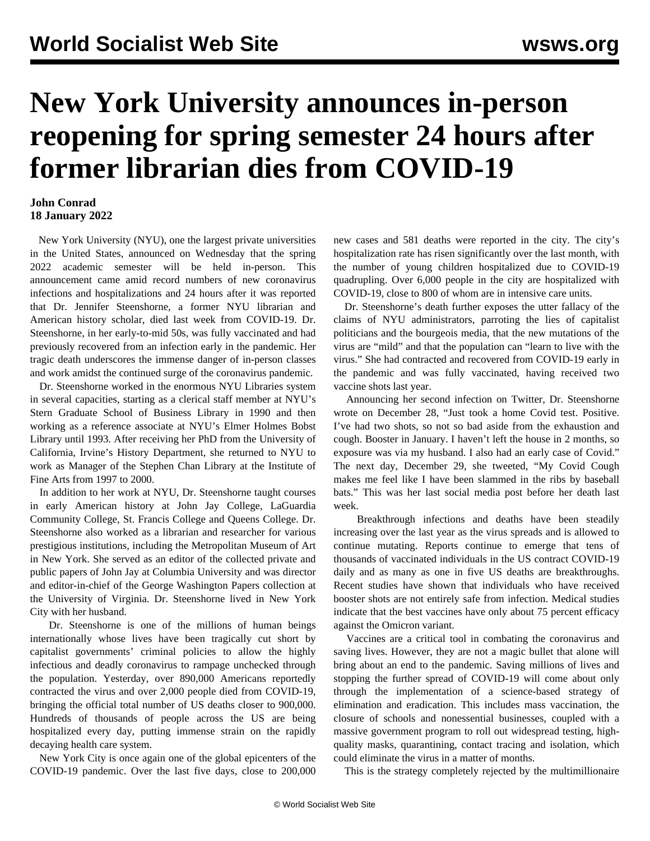## **New York University announces in-person reopening for spring semester 24 hours after former librarian dies from COVID-19**

## **John Conrad 18 January 2022**

 New York University (NYU), one the largest private universities in the United States, announced on Wednesday that the spring 2022 academic semester will be held in-person. This announcement came amid record numbers of new coronavirus infections and hospitalizations and 24 hours after it was reported that Dr. Jennifer Steenshorne, a former NYU librarian and American history scholar, died last week from COVID-19. Dr. Steenshorne, in her early-to-mid 50s, was fully vaccinated and had previously recovered from an infection early in the pandemic. Her tragic death underscores the immense danger of in-person classes and work amidst the continued surge of the coronavirus pandemic.

 Dr. Steenshorne worked in the enormous NYU Libraries system in several capacities, starting as a clerical staff member at NYU's Stern Graduate School of Business Library in 1990 and then working as a reference associate at NYU's Elmer Holmes Bobst Library until 1993. After receiving her PhD from the University of California, Irvine's History Department, she returned to NYU to work as Manager of the Stephen Chan Library at the Institute of Fine Arts from 1997 to 2000.

 In addition to her work at NYU, Dr. Steenshorne taught courses in early American history at John Jay College, LaGuardia Community College, St. Francis College and Queens College. Dr. Steenshorne also worked as a librarian and researcher for various prestigious institutions, including the Metropolitan Museum of Art in New York. She served as an editor of the collected private and public papers of John Jay at Columbia University and was director and editor-in-chief of the George Washington Papers collection at the University of Virginia. Dr. Steenshorne lived in New York City with her husband.

 Dr. Steenshorne is one of the millions of human beings internationally whose lives have been tragically cut short by capitalist governments' criminal policies to allow the highly infectious and deadly coronavirus to rampage unchecked through the population. Yesterday, over 890,000 Americans reportedly contracted the virus and over 2,000 people died from COVID-19, bringing the official total number of US deaths closer to 900,000. Hundreds of thousands of people across the US are being hospitalized every day, putting immense strain on the rapidly decaying health care system.

 New York City is once again one of the global epicenters of the COVID-19 pandemic. Over the last five days, close to 200,000 new cases and 581 deaths were reported in the city. The city's hospitalization rate has risen significantly over the last month, with the number of young children hospitalized due to COVID-19 quadrupling. Over 6,000 people in the city are hospitalized with COVID-19, close to 800 of whom are in intensive care units.

 Dr. Steenshorne's death further exposes the utter fallacy of the claims of NYU administrators, parroting the lies of capitalist politicians and the bourgeois media, that the new mutations of the virus are "mild" and that the population can "learn to live with the virus." She had contracted and recovered from COVID-19 early in the pandemic and was fully vaccinated, having received two vaccine shots last year.

 Announcing her second infection on Twitter, Dr. Steenshorne wrote on December 28, "Just took a home Covid test. Positive. I've had two shots, so not so bad aside from the exhaustion and cough. Booster in January. I haven't left the house in 2 months, so exposure was via my husband. I also had an early case of Covid." The next day, December 29, she tweeted, "My Covid Cough makes me feel like I have been slammed in the ribs by baseball bats." This was her last social media post before her death last week.

 Breakthrough infections and deaths have been steadily increasing over the last year as the virus spreads and is allowed to continue mutating. Reports continue to emerge that tens of thousands of vaccinated individuals in the US contract COVID-19 daily and as many as one in five US deaths are breakthroughs. Recent studies have shown that individuals who have received booster shots are not entirely safe from infection. Medical studies indicate that the best vaccines have only about 75 percent efficacy against the Omicron variant.

 Vaccines are a critical tool in combating the coronavirus and saving lives. However, they are not a magic bullet that alone will bring about an end to the pandemic. Saving millions of lives and stopping the further spread of COVID-19 will come about only through the implementation of a science-based strategy of elimination and eradication. This includes mass vaccination, the closure of schools and nonessential businesses, coupled with a massive government program to roll out widespread testing, highquality masks, quarantining, contact tracing and isolation, which could eliminate the virus in a matter of months.

This is the strategy completely rejected by the multimillionaire